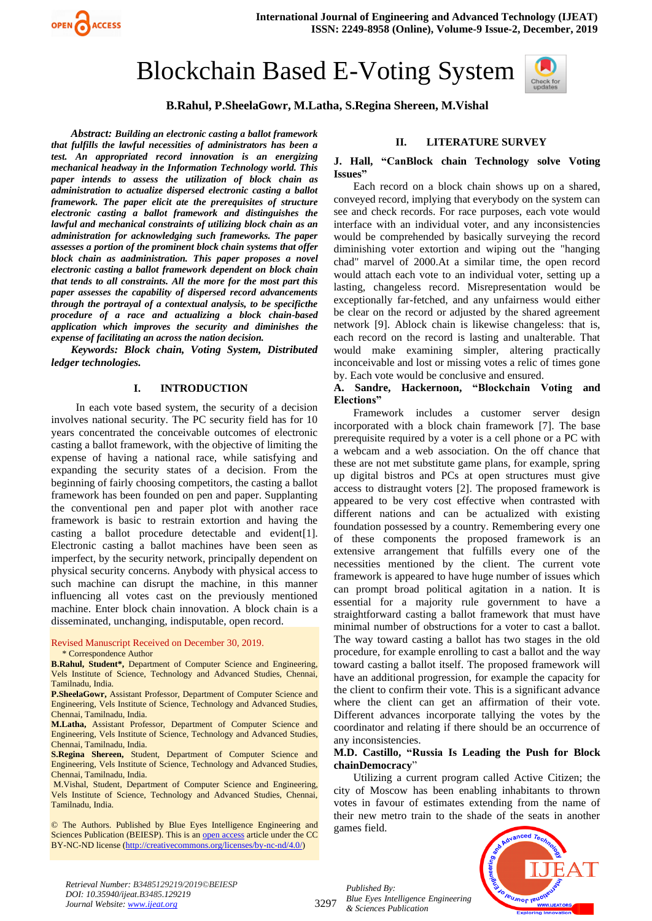

# Blockchain Based E-Voting System



# **B.Rahul, P.SheelaGowr, M.Latha, S.Regina Shereen, M.Vishal**

*Abstract: Building an electronic casting a ballot framework that fulfills the lawful necessities of administrators has been a test. An appropriated record innovation is an energizing mechanical headway in the Information Technology world. This paper intends to assess the utilization of block chain as administration to actualize dispersed electronic casting a ballot framework. The paper elicit ate the prerequisites of structure electronic casting a ballot framework and distinguishes the lawful and mechanical constraints of utilizing block chain as an administration for acknowledging such frameworks. The paper assesses a portion of the prominent block chain systems that offer block chain as aadministration. This paper proposes a novel electronic casting a ballot framework dependent on block chain that tends to all constraints. All the more for the most part this paper assesses the capability of dispersed record advancements through the portrayal of a contextual analysis, to be specificthe procedure of a race and actualizing a block chain-based application which improves the security and diminishes the expense of facilitating an across the nation decision.*

*Keywords: Block chain, Voting System, Distributed ledger technologies.*

#### **I. INTRODUCTION**

In each vote based system, the security of a decision involves national security. The PC security field has for 10 years concentrated the conceivable outcomes of electronic casting a ballot framework, with the objective of limiting the expense of having a national race, while satisfying and expanding the security states of a decision. From the beginning of fairly choosing competitors, the casting a ballot framework has been founded on pen and paper. Supplanting the conventional pen and paper plot with another race framework is basic to restrain extortion and having the casting a ballot procedure detectable and evident[1]. Electronic casting a ballot machines have been seen as imperfect, by the security network, principally dependent on physical security concerns. Anybody with physical access to such machine can disrupt the machine, in this manner influencing all votes cast on the previously mentioned machine. Enter block chain innovation. A block chain is a disseminated, unchanging, indisputable, open record.

#### Revised Manuscript Received on December 30, 2019.

\* Correspondence Author

**B.Rahul, Student\*,** Department of Computer Science and Engineering, Vels Institute of Science, Technology and Advanced Studies, Chennai, Tamilnadu, India.

**P.SheelaGowr,** Assistant Professor, Department of Computer Science and Engineering, Vels Institute of Science, Technology and Advanced Studies, Chennai, Tamilnadu, India.

**M.Latha,** Assistant Professor, Department of Computer Science and Engineering, Vels Institute of Science, Technology and Advanced Studies, Chennai, Tamilnadu, India.

**S.Regina Shereen,** Student, Department of Computer Science and Engineering, Vels Institute of Science, Technology and Advanced Studies, Chennai, Tamilnadu, India.

M.Vishal, Student, Department of Computer Science and Engineering, Vels Institute of Science, Technology and Advanced Studies, Chennai, Tamilnadu, India.

© The Authors. Published by Blue Eyes Intelligence Engineering and Sciences Publication (BEIESP). This is a[n open access](https://www.openaccess.nl/en/open-publications) article under the CC BY-NC-ND license [\(http://creativecommons.org/licenses/by-nc-nd/4.0/\)](http://creativecommons.org/licenses/by-nc-nd/4.0/)

# **II. LITERATURE SURVEY**

#### **J. Hall, "CanBlock chain Technology solve Voting Issues"**

Each record on a block chain shows up on a shared, conveyed record, implying that everybody on the system can see and check records. For race purposes, each vote would interface with an individual voter, and any inconsistencies would be comprehended by basically surveying the record diminishing voter extortion and wiping out the "hanging chad" marvel of 2000.At a similar time, the open record would attach each vote to an individual voter, setting up a lasting, changeless record. Misrepresentation would be exceptionally far-fetched, and any unfairness would either be clear on the record or adjusted by the shared agreement network [9]. Ablock chain is likewise changeless: that is, each record on the record is lasting and unalterable. That would make examining simpler, altering practically inconceivable and lost or missing votes a relic of times gone by. Each vote would be conclusive and ensured.

## **A. Sandre, Hackernoon, "Blockchain Voting and Elections"**

Framework includes a customer server design incorporated with a block chain framework [7]. The base prerequisite required by a voter is a cell phone or a PC with a webcam and a web association. On the off chance that these are not met substitute game plans, for example, spring up digital bistros and PCs at open structures must give access to distraught voters [2]. The proposed framework is appeared to be very cost effective when contrasted with different nations and can be actualized with existing foundation possessed by a country. Remembering every one of these components the proposed framework is an extensive arrangement that fulfills every one of the necessities mentioned by the client. The current vote framework is appeared to have huge number of issues which can prompt broad political agitation in a nation. It is essential for a majority rule government to have a straightforward casting a ballot framework that must have minimal number of obstructions for a voter to cast a ballot. The way toward casting a ballot has two stages in the old procedure, for example enrolling to cast a ballot and the way toward casting a ballot itself. The proposed framework will have an additional progression, for example the capacity for the client to confirm their vote. This is a significant advance where the client can get an affirmation of their vote. Different advances incorporate tallying the votes by the coordinator and relating if there should be an occurrence of any inconsistencies.

#### **M.D. Castillo, "Russia Is Leading the Push for Block chainDemocracy**"

Utilizing a current program called Active Citizen; the city of Moscow has been enabling inhabitants to thrown votes in favour of estimates extending from the name of their new metro train to the shade of the seats in another games field.



*Retrieval Number: B3485129219/2019©BEIESP DOI: 10.35940/ijeat.B3485.129219 Journal Website[: www.ijeat.org](http://www.ijeat.org/)*

3297

*Published By: Blue Eyes Intelligence Engineering & Sciences Publication*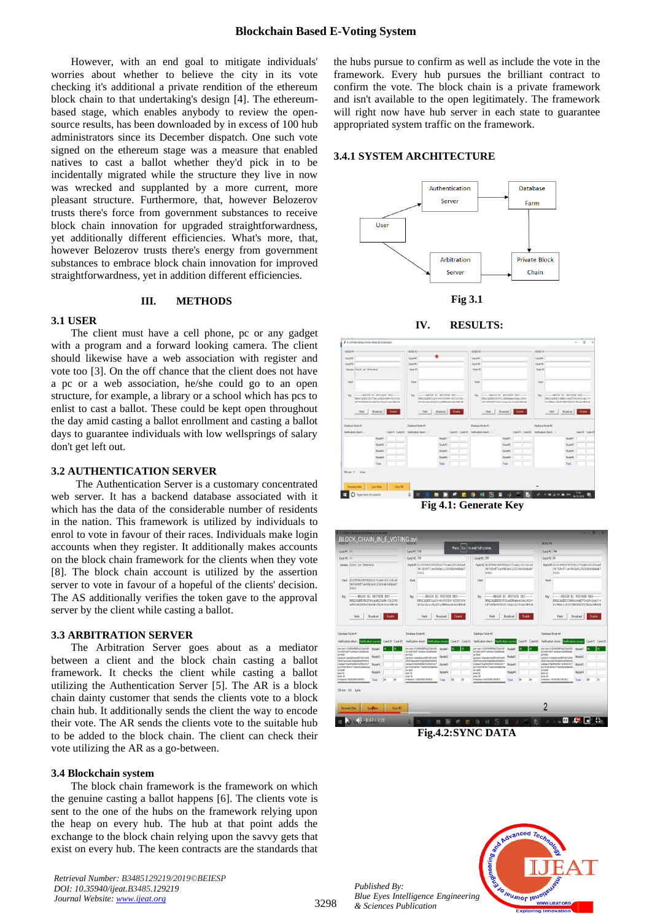However, with an end goal to mitigate individuals' worries about whether to believe the city in its vote checking it's additional a private rendition of the ethereum block chain to that undertaking's design [4]. The ethereumbased stage, which enables anybody to review the opensource results, has been downloaded by in excess of 100 hub administrators since its December dispatch. One such vote signed on the ethereum stage was a measure that enabled natives to cast a ballot whether they'd pick in to be incidentally migrated while the structure they live in now was wrecked and supplanted by a more current, more pleasant structure. Furthermore, that, however Belozerov trusts there's force from government substances to receive block chain innovation for upgraded straightforwardness, yet additionally different efficiencies. What's more, that, however Belozerov trusts there's energy from government substances to embrace block chain innovation for improved straightforwardness, yet in addition different efficiencies.

#### **III. METHODS**

#### **3.1 USER**

The client must have a cell phone, pc or any gadget with a program and a forward looking camera. The client should likewise have a web association with register and vote too [3]. On the off chance that the client does not have a pc or a web association, he/she could go to an open structure, for example, a library or a school which has pcs to enlist to cast a ballot. These could be kept open throughout the day amid casting a ballot enrollment and casting a ballot days to guarantee individuals with low wellsprings of salary don't get left out.

## **3.2 AUTHENTICATION SERVER**

The Authentication Server is a customary concentrated web server. It has a backend database associated with it which has the data of the considerable number of residents in the nation. This framework is utilized by individuals to enrol to vote in favour of their races. Individuals make login accounts when they register. It additionally makes accounts on the block chain framework for the clients when they vote [8]. The block chain account is utilized by the assertion server to vote in favour of a hopeful of the clients' decision. The AS additionally verifies the token gave to the approval server by the client while casting a ballot.

#### **3.3 ARBITRATION SERVER**

The Arbitration Server goes about as a mediator between a client and the block chain casting a ballot framework. It checks the client while casting a ballot utilizing the Authentication Server [5]. The AR is a block chain dainty customer that sends the clients vote to a block chain hub. It additionally sends the client the way to encode their vote. The AR sends the clients vote to the suitable hub to be added to the block chain. The client can check their vote utilizing the AR as a go-between.

#### **3.4 Blockchain system**

The block chain framework is the framework on which the genuine casting a ballot happens [6]. The clients vote is sent to the one of the hubs on the framework relying upon the heap on every hub. The hub at that point adds the exchange to the block chain relying upon the savvy gets that exist on every hub. The keen contracts are the standards that

*Retrieval Number: B3485129219/2019©BEIESP DOI: 10.35940/ijeat.B3485.129219 Journal Website[: www.ijeat.org](http://www.ijeat.org/)*

the hubs pursue to confirm as well as include the vote in the framework. Every hub pursues the brilliant contract to confirm the vote. The block chain is a private framework and isn't available to the open legitimately. The framework will right now have hub server in each state to guarantee appropriated system traffic on the framework.

### **3.4.1 SYSTEM ARCHITECTURE**







 **Fig 4.1: Generate Key**



**Fig.4.2:SYNC DATA**

*Published By: Blue Eyes Intelligence Engineering & Sciences Publication*